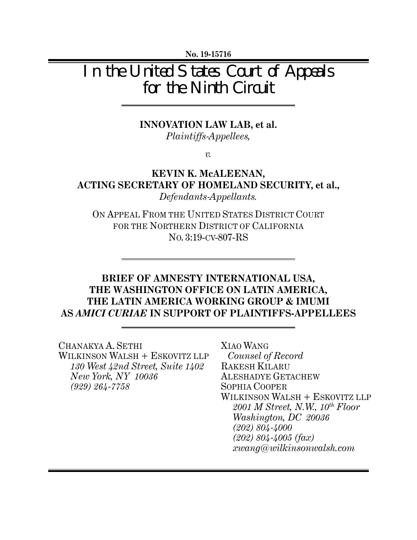**No. 19-15716** 

# In the United States Court of Appeals for the Ninth Circuit

#### **INNOVATION LAW LAB, et al.**

*Plaintiffs-Appellees,*

*v.* 

### **KEVIN K. McALEENAN, ACTING SECRETARY OF HOMELAND SECURITY, et al.,**  *Defendants-Appellants.*

ON APPEAL FROM THE UNITED STATES DISTRICT COURT FOR THE NORTHERN DISTRICT OF CALIFORNIA NO. 3:19-CV-807-RS

### **BRIEF OF AMNESTY INTERNATIONAL USA, THE WASHINGTON OFFICE ON LATIN AMERICA, THE LATIN AMERICA WORKING GROUP & IMUMI AS** *AMICI CURIAE* **IN SUPPORT OF PLAINTIFFS-APPELLEES**

CHANAKYA A. SETHI WILKINSON WALSH + ESKOVITZ LLP *130 West 42nd Street, Suite 1402 New York, NY 10036 (929) 264-7758* 

XIAO WANG  *Counsel of Record*  RAKESH KILARU ALESHADYE GETACHEW SOPHIA COOPER WILKINSON WALSH + ESKOVITZ LLP *2001 M Street, N.W., 10th Floor Washington, DC 20036 (202) 804-4000 (202) 804-4005 (fax) xwang@wilkinsonwalsh.com*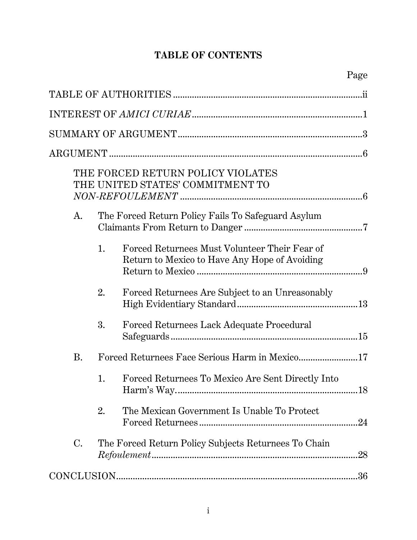# **TABLE OF CONTENTS**

|           |    | THE FORCED RETURN POLICY VIOLATES<br>THE UNITED STATES' COMMITMENT TO                          |     |
|-----------|----|------------------------------------------------------------------------------------------------|-----|
| A.        |    | The Forced Return Policy Fails To Safeguard Asylum                                             |     |
|           | 1. | Forced Returnees Must Volunteer Their Fear of<br>Return to Mexico to Have Any Hope of Avoiding |     |
|           | 2. | Forced Returnees Are Subject to an Unreasonably                                                |     |
|           | 3. | Forced Returnees Lack Adequate Procedural                                                      |     |
| <b>B.</b> |    |                                                                                                |     |
|           | 1. | Forced Returnees To Mexico Are Sent Directly Into<br>Harm's Way                                | 18  |
|           | 2. | The Mexican Government Is Unable To Protect                                                    |     |
| $\rm C$ . |    | The Forced Return Policy Subjects Returnees To Chain                                           | .28 |
|           |    |                                                                                                | 36  |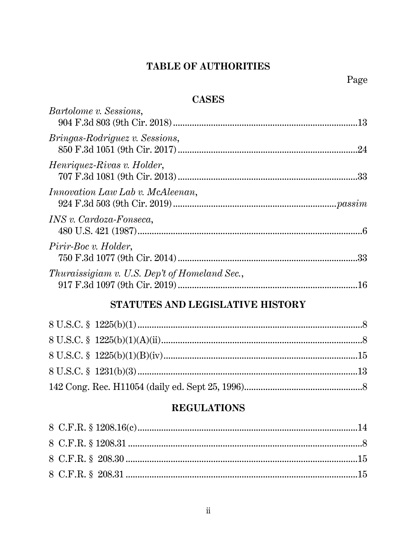# TABLE OF AUTHORITIES

### **CASES**

| <i>Bartolome v. Sessions,</i>                 |     |
|-----------------------------------------------|-----|
| <i>Bringas-Rodriguez v. Sessions,</i>         |     |
| Henriquez-Rivas v. Holder,                    |     |
| <i>Innovation Law Lab v. McAleenan,</i>       |     |
| <i>INS v. Cardoza-Fonseca,</i>                |     |
| Pirir-Boc v. Holder,                          |     |
| Thuraissigiam v. U.S. Dep't of Homeland Sec., | .16 |
|                                               |     |

# STATUTES AND LEGISLATIVE HISTORY

# **REGULATIONS**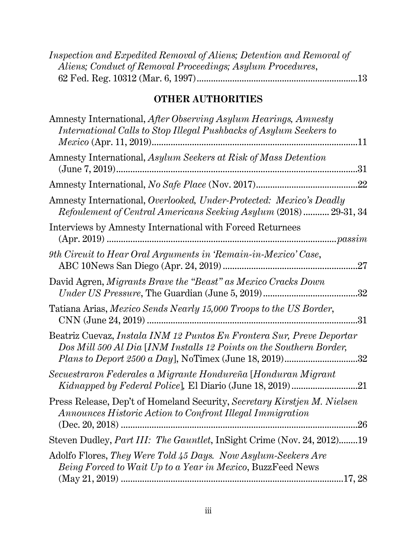| Inspection and Expedited Removal of Aliens; Detention and Removal of |  |
|----------------------------------------------------------------------|--|
| Aliens; Conduct of Removal Proceedings; Asylum Procedures,           |  |
|                                                                      |  |

# **OTHER AUTHORITIES**

| Amnesty International, After Observing Asylum Hearings, Amnesty<br>International Calls to Stop Illegal Pushbacks of Asylum Seekers to<br>.11        |
|-----------------------------------------------------------------------------------------------------------------------------------------------------|
| Amnesty International, Asylum Seekers at Risk of Mass Detention<br>.31                                                                              |
| .22                                                                                                                                                 |
| Amnesty International, Overlooked, Under-Protected: Mexico's Deadly<br>Refoulement of Central Americans Seeking Asylum (2018)  29-31, 34            |
| Interviews by Amnesty International with Forced Returnees                                                                                           |
| 9th Circuit to Hear Oral Arguments in 'Remain-in-Mexico' Case,<br>27                                                                                |
| David Agren, Migrants Brave the "Beast" as Mexico Cracks Down<br>.32                                                                                |
| Tatiana Arias, Mexico Sends Nearly 15,000 Troops to the US Border,<br>.31                                                                           |
| Beatriz Cuevaz, Instala INM 12 Puntos En Frontera Sur, Preve Deportar<br>Dos Mill 500 Al Dia [INM Installs 12 Points on the Southern Border,<br>.32 |
| Secuestraron Federales a Migrante Hondureña [Honduran Migrant                                                                                       |
| Press Release, Dep't of Homeland Security, Secretary Kirstjen M. Nielsen<br>Announces Historic Action to Confront Illegal Immigration<br>.26        |
| Steven Dudley, Part III: The Gauntlet, InSight Crime (Nov. 24, 2012)19                                                                              |
| Adolfo Flores, They Were Told 45 Days. Now Asylum-Seekers Are<br><i>Being Forced to Wait Up to a Year in Mexico</i> , BuzzFeed News                 |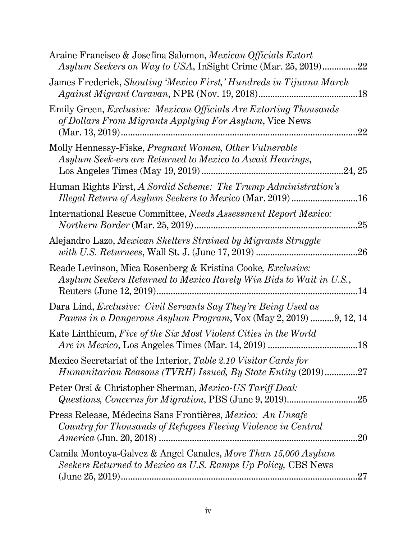| Araine Francisco & Josefina Salomon, Mexican Officials Extort<br>Asylum Seekers on Way to USA, InSight Crime (Mar. 25, 2019)<br>.22             |
|-------------------------------------------------------------------------------------------------------------------------------------------------|
| James Frederick, Shouting 'Mexico First,' Hundreds in Tijuana March<br>.18                                                                      |
| Emily Green, Exclusive: Mexican Officials Are Extorting Thousands<br>of Dollars From Migrants Applying For Asylum, Vice News<br>.22             |
| Molly Hennessy-Fiske, Pregnant Women, Other Vulnerable<br>Asylum Seek-ers are Returned to Mexico to Await Hearings,<br>.24, 25                  |
| Human Rights First, A Sordid Scheme: The Trump Administration's<br>$.16\,$                                                                      |
| International Rescue Committee, Needs Assessment Report Mexico:<br>.25                                                                          |
| Alejandro Lazo, Mexican Shelters Strained by Migrants Struggle                                                                                  |
| Reade Levinson, Mica Rosenberg & Kristina Cooke, <i>Exclusive</i> :<br>Asylum Seekers Returned to Mexico Rarely Win Bids to Wait in U.S.,<br>14 |
| Dara Lind, Exclusive: Civil Servants Say They're Being Used as<br><i>Pawns in a Dangerous Asylum Program,</i> Vox (May 2, 2019) 9, 12, 14       |
| Kate Linthicum, Five of the Six Most Violent Cities in the World<br>.18                                                                         |
| Mexico Secretariat of the Interior, Table 2.10 Visitor Cards for<br>Humanitarian Reasons (TVRH) Issued, By State Entity (2019)27                |
| Peter Orsi & Christopher Sherman, Mexico-US Tariff Deal:                                                                                        |
| Press Release, Médecins Sans Frontières, Mexico: An Unsafe<br>Country for Thousands of Refugees Fleeing Violence in Central<br>.20              |
| Camila Montoya-Galvez & Angel Canales, More Than 15,000 Asylum<br>Seekers Returned to Mexico as U.S. Ramps Up Policy, CBS News<br>27            |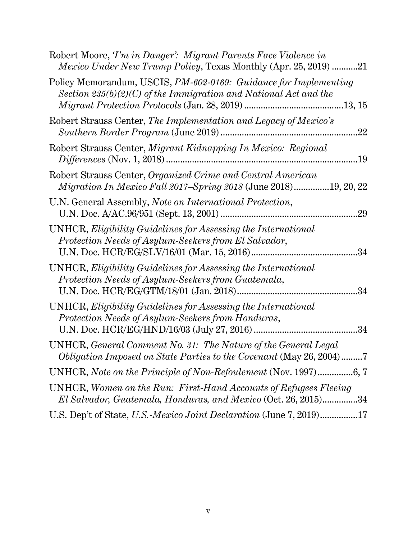| Robert Moore, T'm in Danger': Migrant Parents Face Violence in<br><i>Mexico Under New Trump Policy</i> , Texas Monthly (Apr. 25, 2019) 21 |
|-------------------------------------------------------------------------------------------------------------------------------------------|
| Policy Memorandum, USCIS, PM-602-0169: Guidance for Implementing<br>Section $235(b)(2)(C)$ of the Immigration and National Act and the    |
| Robert Strauss Center, The Implementation and Legacy of Mexico's<br>.22                                                                   |
| Robert Strauss Center, Migrant Kidnapping In Mexico: Regional                                                                             |
| Robert Strauss Center, Organized Crime and Central American<br><i>Migration In Mexico Fall 2017–Spring 2018</i> (June 2018)19, 20, 22     |
| U.N. General Assembly, Note on International Protection,<br>.29                                                                           |
| UNHCR, Eligibility Guidelines for Assessing the International<br>Protection Needs of Asylum-Seekers from El Salvador,<br>34               |
| UNHCR, Eligibility Guidelines for Assessing the International<br>Protection Needs of Asylum-Seekers from Guatemala,<br>.34                |
| UNHCR, Eligibility Guidelines for Assessing the International<br>Protection Needs of Asylum-Seekers from Honduras,<br>.34                 |
| UNHCR, General Comment No. 31: The Nature of the General Legal<br>Obligation Imposed on State Parties to the Covenant (May 26, 2004)7     |
|                                                                                                                                           |
| UNHCR, Women on the Run: First-Hand Accounts of Refugees Fleeing<br>El Salvador, Guatemala, Honduras, and Mexico (Oct. 26, 2015)34        |
| U.S. Dep't of State, U.S.-Mexico Joint Declaration (June 7, 2019)17                                                                       |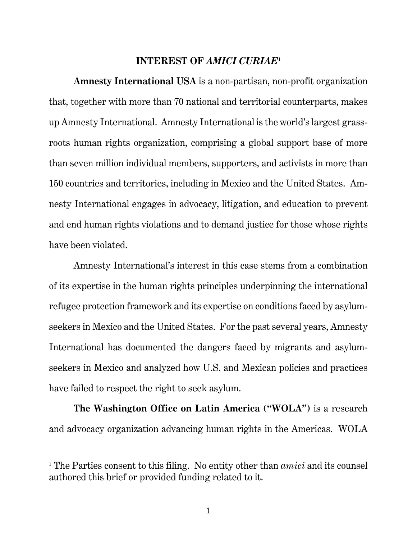#### **INTEREST OF** *AMICI CURIAE***<sup>1</sup>**

**Amnesty International USA** is a non-partisan, non-profit organization that, together with more than 70 national and territorial counterparts, makes up Amnesty International. Amnesty International is the world's largest grassroots human rights organization, comprising a global support base of more than seven million individual members, supporters, and activists in more than 150 countries and territories, including in Mexico and the United States. Amnesty International engages in advocacy, litigation, and education to prevent and end human rights violations and to demand justice for those whose rights have been violated.

Amnesty International's interest in this case stems from a combination of its expertise in the human rights principles underpinning the international refugee protection framework and its expertise on conditions faced by asylumseekers in Mexico and the United States. For the past several years, Amnesty International has documented the dangers faced by migrants and asylumseekers in Mexico and analyzed how U.S. and Mexican policies and practices have failed to respect the right to seek asylum.

**The Washington Office on Latin America ("WOLA")** is a research and advocacy organization advancing human rights in the Americas. WOLA

<sup>1</sup> The Parties consent to this filing. No entity other than *amici* and its counsel authored this brief or provided funding related to it.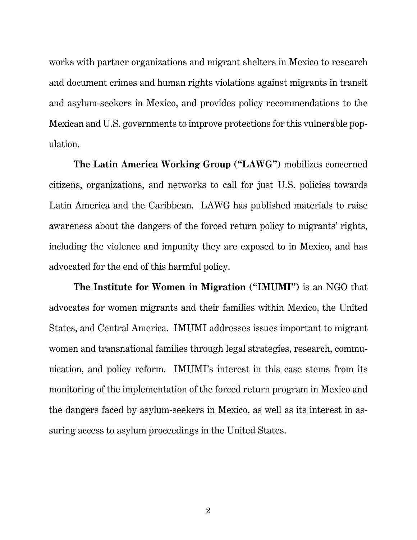works with partner organizations and migrant shelters in Mexico to research and document crimes and human rights violations against migrants in transit and asylum-seekers in Mexico, and provides policy recommendations to the Mexican and U.S. governments to improve protections for this vulnerable population.

**The Latin America Working Group ("LAWG")** mobilizes concerned citizens, organizations, and networks to call for just U.S. policies towards Latin America and the Caribbean. LAWG has published materials to raise awareness about the dangers of the forced return policy to migrants' rights, including the violence and impunity they are exposed to in Mexico, and has advocated for the end of this harmful policy.

**The Institute for Women in Migration ("IMUMI")** is an NGO that advocates for women migrants and their families within Mexico, the United States, and Central America. IMUMI addresses issues important to migrant women and transnational families through legal strategies, research, communication, and policy reform. IMUMI's interest in this case stems from its monitoring of the implementation of the forced return program in Mexico and the dangers faced by asylum-seekers in Mexico, as well as its interest in assuring access to asylum proceedings in the United States.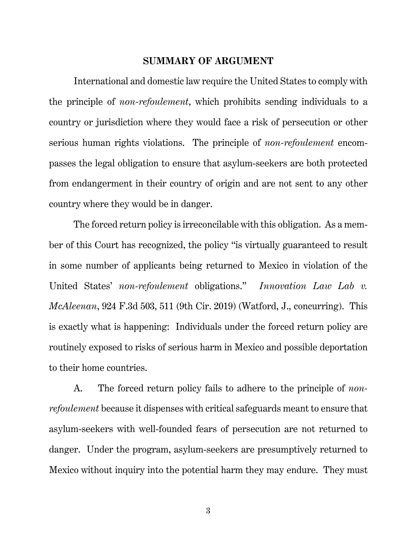#### **SUMMARY OF ARGUMENT**

International and domestic law require the United States to comply with the principle of *non-refoulement*, which prohibits sending individuals to a country or jurisdiction where they would face a risk of persecution or other serious human rights violations. The principle of *non-refoulement* encompasses the legal obligation to ensure that asylum-seekers are both protected from endangerment in their country of origin and are not sent to any other country where they would be in danger.

The forced return policy is irreconcilable with this obligation. As a member of this Court has recognized, the policy "is virtually guaranteed to result in some number of applicants being returned to Mexico in violation of the United States' *non-refoulement* obligations." *Innovation Law Lab v. McAleenan*, 924 F.3d 503, 511 (9th Cir. 2019) (Watford, J., concurring). This is exactly what is happening: Individuals under the forced return policy are routinely exposed to risks of serious harm in Mexico and possible deportation to their home countries.

A. The forced return policy fails to adhere to the principle of *nonrefoulement* because it dispenses with critical safeguards meant to ensure that asylum-seekers with well-founded fears of persecution are not returned to danger. Under the program, asylum-seekers are presumptively returned to Mexico without inquiry into the potential harm they may endure. They must

3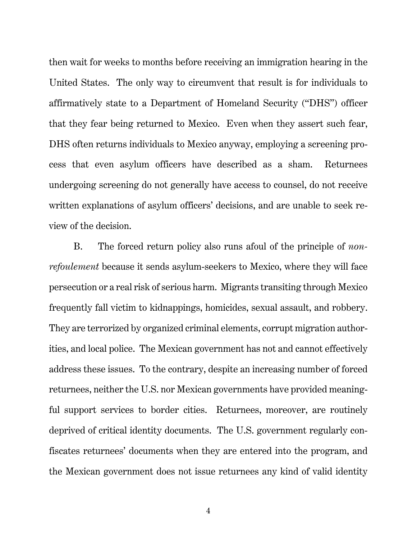then wait for weeks to months before receiving an immigration hearing in the United States. The only way to circumvent that result is for individuals to affirmatively state to a Department of Homeland Security ("DHS") officer that they fear being returned to Mexico. Even when they assert such fear, DHS often returns individuals to Mexico anyway, employing a screening process that even asylum officers have described as a sham. Returnees undergoing screening do not generally have access to counsel, do not receive written explanations of asylum officers' decisions, and are unable to seek review of the decision.

B. The forced return policy also runs afoul of the principle of *nonrefoulement* because it sends asylum-seekers to Mexico, where they will face persecution or a real risk of serious harm. Migrants transiting through Mexico frequently fall victim to kidnappings, homicides, sexual assault, and robbery. They are terrorized by organized criminal elements, corrupt migration authorities, and local police. The Mexican government has not and cannot effectively address these issues. To the contrary, despite an increasing number of forced returnees, neither the U.S. nor Mexican governments have provided meaningful support services to border cities. Returnees, moreover, are routinely deprived of critical identity documents. The U.S. government regularly confiscates returnees' documents when they are entered into the program, and the Mexican government does not issue returnees any kind of valid identity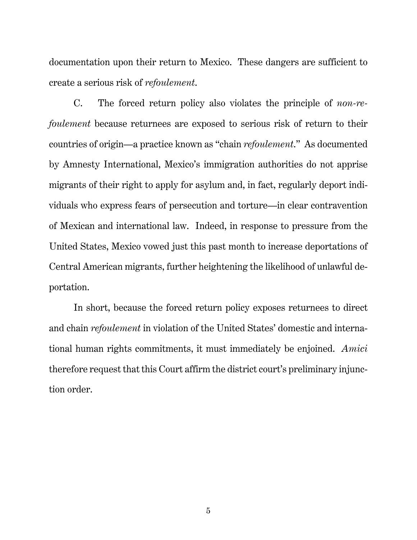documentation upon their return to Mexico. These dangers are sufficient to create a serious risk of *refoulement*.

C. The forced return policy also violates the principle of *non-refoulement* because returnees are exposed to serious risk of return to their countries of origin—a practice known as "chain *refoulement*." As documented by Amnesty International, Mexico's immigration authorities do not apprise migrants of their right to apply for asylum and, in fact, regularly deport individuals who express fears of persecution and torture—in clear contravention of Mexican and international law. Indeed, in response to pressure from the United States, Mexico vowed just this past month to increase deportations of Central American migrants, further heightening the likelihood of unlawful deportation.

In short, because the forced return policy exposes returnees to direct and chain *refoulement* in violation of the United States' domestic and international human rights commitments, it must immediately be enjoined. *Amici* therefore request that this Court affirm the district court's preliminary injunction order.

5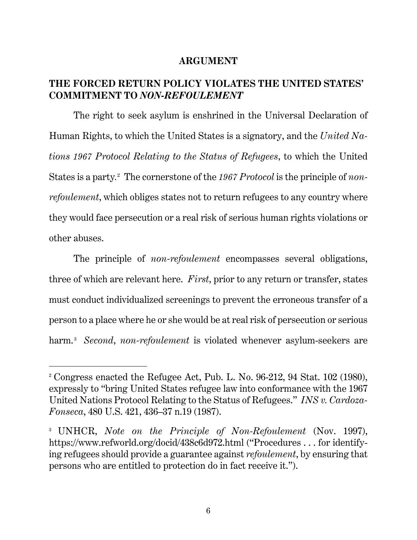#### **ARGUMENT**

#### **THE FORCED RETURN POLICY VIOLATES THE UNITED STATES' COMMITMENT TO** *NON-REFOULEMENT*

The right to seek asylum is enshrined in the Universal Declaration of Human Rights, to which the United States is a signatory, and the *United Nations 1967 Protocol Relating to the Status of Refugees*, to which the United States is a party.<sup>2</sup> The cornerstone of the 1967 Protocol is the principle of *nonrefoulement*, which obliges states not to return refugees to any country where they would face persecution or a real risk of serious human rights violations or other abuses.

The principle of *non-refoulement* encompasses several obligations, three of which are relevant here. *First*, prior to any return or transfer, states must conduct individualized screenings to prevent the erroneous transfer of a person to a place where he or she would be at real risk of persecution or serious harm.<sup>3</sup> *Second, non-refoulement* is violated whenever asylum-seekers are

<sup>2</sup> Congress enacted the Refugee Act, Pub. L. No. 96-212, 94 Stat. 102 (1980), expressly to "bring United States refugee law into conformance with the 1967 United Nations Protocol Relating to the Status of Refugees." *INS v. Cardoza-Fonseca*, 480 U.S. 421, 436–37 n.19 (1987).

<sup>3</sup> UNHCR, *Note on the Principle of Non-Refoulement* (Nov. 1997), https://www.refworld.org/docid/438c6d972.html ("Procedures . . . for identifying refugees should provide a guarantee against *refoulement*, by ensuring that persons who are entitled to protection do in fact receive it.").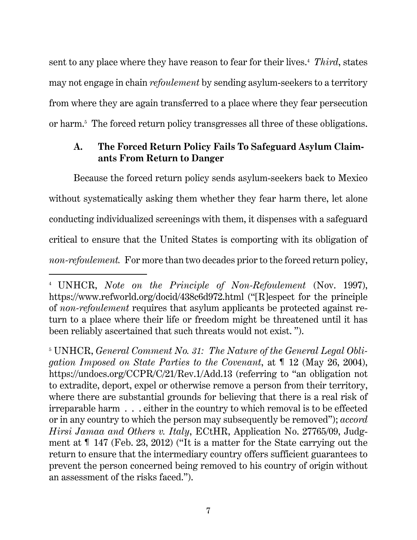sent to any place where they have reason to fear for their lives.<sup>4</sup> Third, states may not engage in chain *refoulement* by sending asylum-seekers to a territory from where they are again transferred to a place where they fear persecution or harm.5 The forced return policy transgresses all three of these obligations.

## **A. The Forced Return Policy Fails To Safeguard Asylum Claimants From Return to Danger**

Because the forced return policy sends asylum-seekers back to Mexico without systematically asking them whether they fear harm there, let alone conducting individualized screenings with them, it dispenses with a safeguard critical to ensure that the United States is comporting with its obligation of *non-refoulement.* For more than two decades prior to the forced return policy,

l

<sup>4</sup> UNHCR, *Note on the Principle of Non-Refoulement* (Nov. 1997), https://www.refworld.org/docid/438c6d972.html ("[R]espect for the principle of *non-refoulement* requires that asylum applicants be protected against return to a place where their life or freedom might be threatened until it has been reliably ascertained that such threats would not exist. ").

<sup>5</sup> UNHCR, *General Comment No. 31: The Nature of the General Legal Obligation Imposed on State Parties to the Covenant*, at ¶ 12 (May 26, 2004), https://undocs.org/CCPR/C/21/Rev.1/Add.13 (referring to "an obligation not to extradite, deport, expel or otherwise remove a person from their territory, where there are substantial grounds for believing that there is a real risk of irreparable harm . . . either in the country to which removal is to be effected or in any country to which the person may subsequently be removed"); *accord Hirsi Jamaa and Others v. Italy*, ECtHR, Application No. 27765/09, Judgment at ¶ 147 (Feb. 23, 2012) ("It is a matter for the State carrying out the return to ensure that the intermediary country offers sufficient guarantees to prevent the person concerned being removed to his country of origin without an assessment of the risks faced.").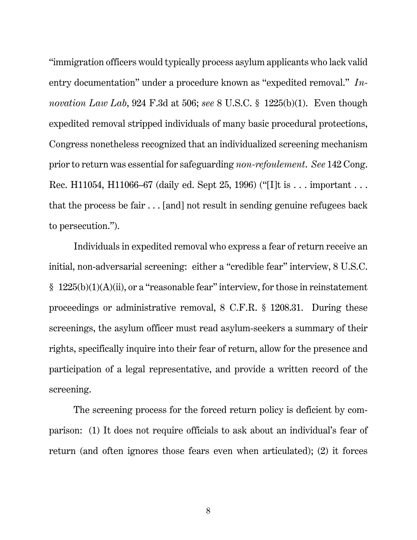"immigration officers would typically process asylum applicants who lack valid entry documentation" under a procedure known as "expedited removal." *Innovation Law Lab*, 924 F.3d at 506; *see* 8 U.S.C. § 1225(b)(1). Even though expedited removal stripped individuals of many basic procedural protections, Congress nonetheless recognized that an individualized screening mechanism prior to return was essential for safeguarding *non-refoulement*. *See* 142 Cong. Rec. H11054, H11066–67 (daily ed. Sept 25, 1996) ("[I]t is . . . important . . . that the process be fair . . . [and] not result in sending genuine refugees back to persecution.").

Individuals in expedited removal who express a fear of return receive an initial, non-adversarial screening: either a "credible fear" interview, 8 U.S.C. § 1225(b)(1)(A)(ii), or a "reasonable fear" interview, for those in reinstatement proceedings or administrative removal, 8 C.F.R. § 1208.31. During these screenings, the asylum officer must read asylum-seekers a summary of their rights, specifically inquire into their fear of return, allow for the presence and participation of a legal representative, and provide a written record of the screening.

The screening process for the forced return policy is deficient by comparison: (1) It does not require officials to ask about an individual's fear of return (and often ignores those fears even when articulated); (2) it forces

8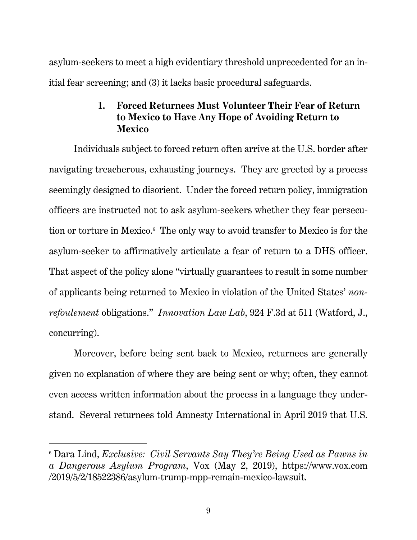asylum-seekers to meet a high evidentiary threshold unprecedented for an initial fear screening; and (3) it lacks basic procedural safeguards.

# **1. Forced Returnees Must Volunteer Their Fear of Return to Mexico to Have Any Hope of Avoiding Return to Mexico**

Individuals subject to forced return often arrive at the U.S. border after navigating treacherous, exhausting journeys. They are greeted by a process seemingly designed to disorient. Under the forced return policy, immigration officers are instructed not to ask asylum-seekers whether they fear persecution or torture in Mexico.<sup>6</sup> The only way to avoid transfer to Mexico is for the asylum-seeker to affirmatively articulate a fear of return to a DHS officer. That aspect of the policy alone "virtually guarantees to result in some number of applicants being returned to Mexico in violation of the United States' *nonrefoulement* obligations." *Innovation Law Lab*, 924 F.3d at 511 (Watford, J., concurring).

Moreover, before being sent back to Mexico, returnees are generally given no explanation of where they are being sent or why; often, they cannot even access written information about the process in a language they understand. Several returnees told Amnesty International in April 2019 that U.S.

<sup>6</sup> Dara Lind, *Exclusive: Civil Servants Say They're Being Used as Pawns in a Dangerous Asylum Program*, Vox (May 2, 2019), https://www.vox.com /2019/5/2/18522386/asylum-trump-mpp-remain-mexico-lawsuit.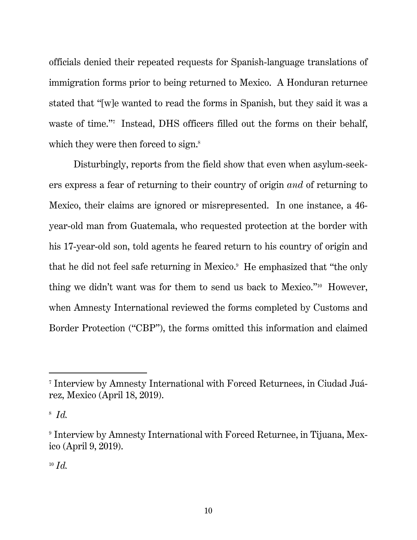officials denied their repeated requests for Spanish-language translations of immigration forms prior to being returned to Mexico. A Honduran returnee stated that "[w]e wanted to read the forms in Spanish, but they said it was a waste of time."7 Instead, DHS officers filled out the forms on their behalf, which they were then forced to sign.<sup>8</sup>

Disturbingly, reports from the field show that even when asylum-seekers express a fear of returning to their country of origin *and* of returning to Mexico, their claims are ignored or misrepresented. In one instance, a 46 year-old man from Guatemala, who requested protection at the border with his 17-year-old son, told agents he feared return to his country of origin and that he did not feel safe returning in Mexico.<sup>9</sup> He emphasized that "the only thing we didn't want was for them to send us back to Mexico."10 However, when Amnesty International reviewed the forms completed by Customs and Border Protection ("CBP"), the forms omitted this information and claimed

<sup>7</sup> Interview by Amnesty International with Forced Returnees, in Ciudad Juárez, Mexico (April 18, 2019).

<sup>8</sup> *Id.* 

<sup>9</sup> Interview by Amnesty International with Forced Returnee, in Tijuana, Mexico (April 9, 2019).

 $10 \text{ Id.}$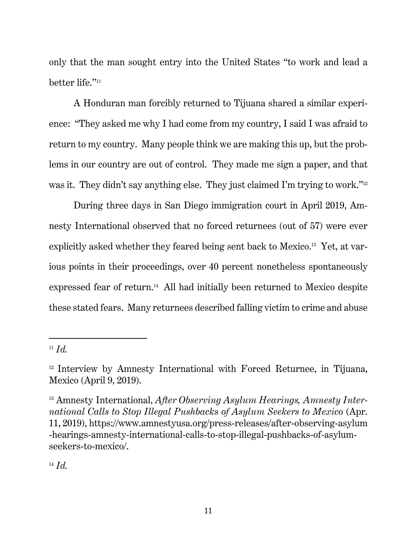only that the man sought entry into the United States "to work and lead a better life."<sup>11</sup>

A Honduran man forcibly returned to Tijuana shared a similar experience: "They asked me why I had come from my country, I said I was afraid to return to my country. Many people think we are making this up, but the problems in our country are out of control. They made me sign a paper, and that was it. They didn't say anything else. They just claimed I'm trying to work."<sup>12</sup>

During three days in San Diego immigration court in April 2019, Amnesty International observed that no forced returnees (out of 57) were ever explicitly asked whether they feared being sent back to Mexico.13 Yet, at various points in their proceedings, over 40 percent nonetheless spontaneously expressed fear of return.14 All had initially been returned to Mexico despite these stated fears. Many returnees described falling victim to crime and abuse

-

 $14$  *Id.* 

 $11$  *Id.* 

<sup>12</sup> Interview by Amnesty International with Forced Returnee, in Tijuana, Mexico (April 9, 2019).

<sup>&</sup>lt;sup>13</sup> Amnesty International, *After Observing Asylum Hearings, Amnesty International Calls to Stop Illegal Pushbacks of Asylum Seekers to Mexico* (Apr. 11, 2019), https://www.amnestyusa.org/press-releases/after-observing-asylum -hearings-amnesty-international-calls-to-stop-illegal-pushbacks-of-asylumseekers-to-mexico/.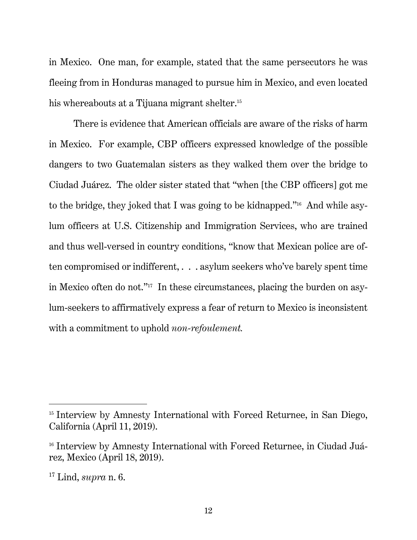in Mexico. One man, for example, stated that the same persecutors he was fleeing from in Honduras managed to pursue him in Mexico, and even located his whereabouts at a Tijuana migrant shelter.<sup>15</sup>

There is evidence that American officials are aware of the risks of harm in Mexico. For example, CBP officers expressed knowledge of the possible dangers to two Guatemalan sisters as they walked them over the bridge to Ciudad Juárez. The older sister stated that "when [the CBP officers] got me to the bridge, they joked that I was going to be kidnapped."16 And while asylum officers at U.S. Citizenship and Immigration Services, who are trained and thus well-versed in country conditions, "know that Mexican police are often compromised or indifferent, . . . asylum seekers who've barely spent time in Mexico often do not."17 In these circumstances, placing the burden on asylum-seekers to affirmatively express a fear of return to Mexico is inconsistent with a commitment to uphold *non-refoulement.* 

<sup>&</sup>lt;sup>15</sup> Interview by Amnesty International with Forced Returnee, in San Diego, California (April 11, 2019).

<sup>&</sup>lt;sup>16</sup> Interview by Amnesty International with Forced Returnee, in Ciudad Juárez, Mexico (April 18, 2019).

<sup>17</sup> Lind, *supra* n. 6.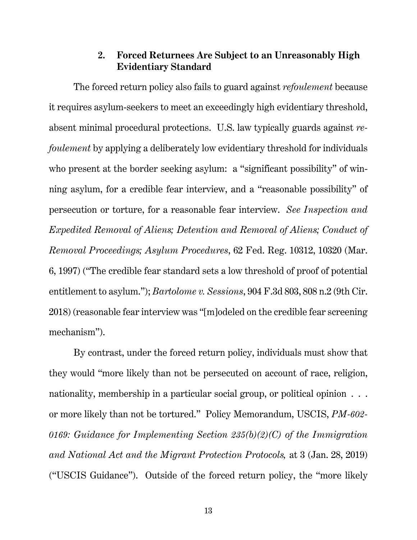#### **2. Forced Returnees Are Subject to an Unreasonably High Evidentiary Standard**

The forced return policy also fails to guard against *refoulement* because it requires asylum-seekers to meet an exceedingly high evidentiary threshold, absent minimal procedural protections. U.S. law typically guards against *refoulement* by applying a deliberately low evidentiary threshold for individuals who present at the border seeking asylum: a "significant possibility" of winning asylum, for a credible fear interview, and a "reasonable possibility" of persecution or torture, for a reasonable fear interview. *See Inspection and Expedited Removal of Aliens; Detention and Removal of Aliens; Conduct of Removal Proceedings; Asylum Procedures*, 62 Fed. Reg. 10312, 10320 (Mar. 6, 1997) ("The credible fear standard sets a low threshold of proof of potential entitlement to asylum."); *Bartolome v. Sessions*, 904 F.3d 803, 808 n.2 (9th Cir. 2018) (reasonable fear interview was "[m]odeled on the credible fear screening mechanism").

By contrast, under the forced return policy, individuals must show that they would "more likely than not be persecuted on account of race, religion, nationality, membership in a particular social group, or political opinion  $\ldots$ . or more likely than not be tortured." Policy Memorandum, USCIS, *PM-602- 0169: Guidance for Implementing Section 235(b)(2)(C) of the Immigration and National Act and the Migrant Protection Protocols,* at 3 (Jan. 28, 2019) ("USCIS Guidance"). Outside of the forced return policy, the "more likely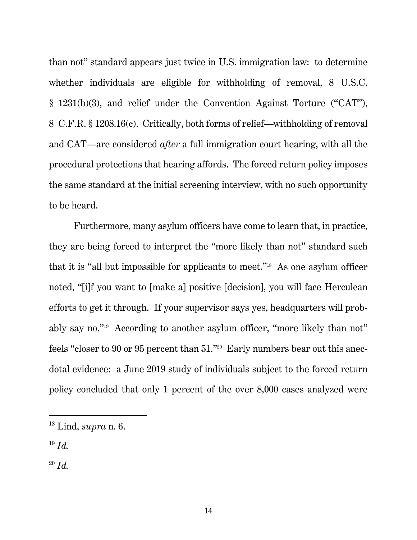than not" standard appears just twice in U.S. immigration law: to determine whether individuals are eligible for withholding of removal, 8 U.S.C. § 1231(b)(3), and relief under the Convention Against Torture ("CAT"), 8 C.F.R. § 1208.16(c). Critically, both forms of relief—withholding of removal and CAT—are considered *after* a full immigration court hearing, with all the procedural protections that hearing affords. The forced return policy imposes the same standard at the initial screening interview, with no such opportunity to be heard.

Furthermore, many asylum officers have come to learn that, in practice, they are being forced to interpret the "more likely than not" standard such that it is "all but impossible for applicants to meet."18 As one asylum officer noted, "[i]f you want to [make a] positive [decision], you will face Herculean efforts to get it through. If your supervisor says yes, headquarters will probably say no."19 According to another asylum officer, "more likely than not" feels "closer to 90 or 95 percent than 51."<sup>20</sup> Early numbers bear out this anecdotal evidence: a June 2019 study of individuals subject to the forced return policy concluded that only 1 percent of the over 8,000 cases analyzed were

 $^{19}$  *Id.* 

-

 $^{20}$  *Id.* 

<sup>18</sup> Lind, *supra* n. 6.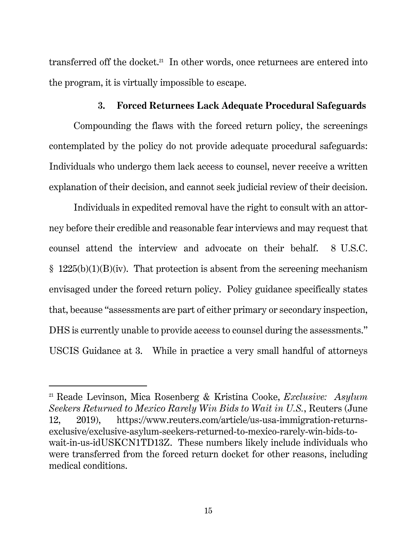transferred off the docket.<sup>21</sup> In other words, once returnees are entered into the program, it is virtually impossible to escape.

#### **3. Forced Returnees Lack Adequate Procedural Safeguards**

Compounding the flaws with the forced return policy, the screenings contemplated by the policy do not provide adequate procedural safeguards: Individuals who undergo them lack access to counsel, never receive a written explanation of their decision, and cannot seek judicial review of their decision.

Individuals in expedited removal have the right to consult with an attorney before their credible and reasonable fear interviews and may request that counsel attend the interview and advocate on their behalf. 8 U.S.C.  $§$  1225(b)(1)(B)(iv). That protection is absent from the screening mechanism envisaged under the forced return policy. Policy guidance specifically states that, because "assessments are part of either primary or secondary inspection, DHS is currently unable to provide access to counsel during the assessments." USCIS Guidance at 3. While in practice a very small handful of attorneys

<sup>21</sup> Reade Levinson, Mica Rosenberg & Kristina Cooke, *Exclusive: Asylum Seekers Returned to Mexico Rarely Win Bids to Wait in U.S.*, Reuters (June 12, 2019), https://www.reuters.com/article/us-usa-immigration-returnsexclusive/exclusive-asylum-seekers-returned-to-mexico-rarely-win-bids-towait-in-us-idUSKCN1TD13Z. These numbers likely include individuals who were transferred from the forced return docket for other reasons, including medical conditions.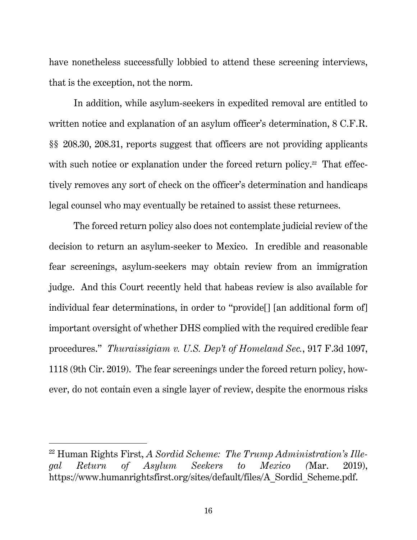have nonetheless successfully lobbied to attend these screening interviews, that is the exception, not the norm.

In addition, while asylum-seekers in expedited removal are entitled to written notice and explanation of an asylum officer's determination,  $8$  C.F.R. §§ 208.30, 208.31, reports suggest that officers are not providing applicants with such notice or explanation under the forced return policy.<sup>22</sup> That effectively removes any sort of check on the officer's determination and handicaps legal counsel who may eventually be retained to assist these returnees.

The forced return policy also does not contemplate judicial review of the decision to return an asylum-seeker to Mexico. In credible and reasonable fear screenings, asylum-seekers may obtain review from an immigration judge. And this Court recently held that habeas review is also available for individual fear determinations, in order to "provide[] [an additional form of] important oversight of whether DHS complied with the required credible fear procedures." *Thuraissigiam v. U.S. Dep't of Homeland Sec.*, 917 F.3d 1097, 1118 (9th Cir. 2019). The fear screenings under the forced return policy, however, do not contain even a single layer of review, despite the enormous risks

<sup>22</sup> Human Rights First, *A Sordid Scheme: The Trump Administration's Illegal Return of Asylum Seekers to Mexico (*Mar. 2019), https://www.humanrightsfirst.org/sites/default/files/A\_Sordid\_Scheme.pdf.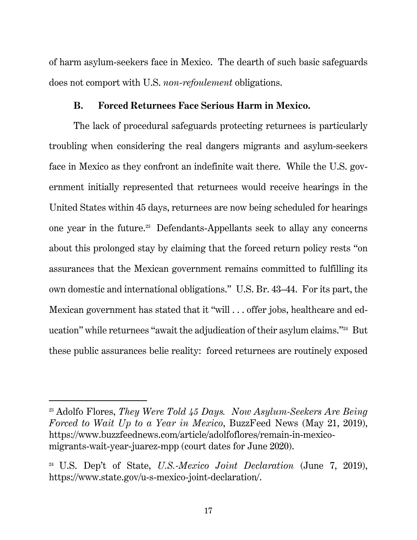of harm asylum-seekers face in Mexico. The dearth of such basic safeguards does not comport with U.S. *non-refoulement* obligations.

#### **B. Forced Returnees Face Serious Harm in Mexico.**

The lack of procedural safeguards protecting returnees is particularly troubling when considering the real dangers migrants and asylum-seekers face in Mexico as they confront an indefinite wait there. While the U.S. government initially represented that returnees would receive hearings in the United States within 45 days, returnees are now being scheduled for hearings one year in the future.23 Defendants-Appellants seek to allay any concerns about this prolonged stay by claiming that the forced return policy rests "on assurances that the Mexican government remains committed to fulfilling its own domestic and international obligations." U.S. Br. 43–44. For its part, the Mexican government has stated that it "will . . . offer jobs, healthcare and education" while returnees "await the adjudication of their asylum claims."24 But these public assurances belie reality: forced returnees are routinely exposed

<sup>23</sup> Adolfo Flores, *They Were Told 45 Days. Now Asylum-Seekers Are Being Forced to Wait Up to a Year in Mexico*, BuzzFeed News (May 21, 2019), https://www.buzzfeednews.com/article/adolfoflores/remain-in-mexicomigrants-wait-year-juarez-mpp (court dates for June 2020).

<sup>24</sup> U.S. Dep't of State, *U.S.-Mexico Joint Declaration* (June 7, 2019), https://www.state.gov/u-s-mexico-joint-declaration/.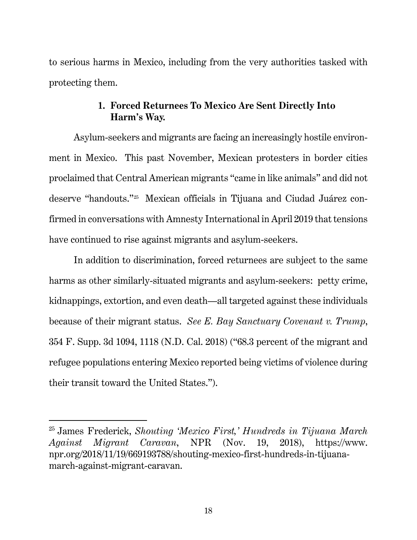to serious harms in Mexico, including from the very authorities tasked with protecting them.

#### **1. Forced Returnees To Mexico Are Sent Directly Into Harm's Way.**

Asylum-seekers and migrants are facing an increasingly hostile environment in Mexico. This past November, Mexican protesters in border cities proclaimed that Central American migrants "came in like animals" and did not deserve "handouts."25 Mexican officials in Tijuana and Ciudad Juárez confirmed in conversations with Amnesty International in April 2019 that tensions have continued to rise against migrants and asylum-seekers.

In addition to discrimination, forced returnees are subject to the same harms as other similarly-situated migrants and asylum-seekers: petty crime, kidnappings, extortion, and even death—all targeted against these individuals because of their migrant status. *See E. Bay Sanctuary Covenant v. Trump*, 354 F. Supp. 3d 1094, 1118 (N.D. Cal. 2018) ("68.3 percent of the migrant and refugee populations entering Mexico reported being victims of violence during their transit toward the United States.").

<sup>25</sup> James Frederick, *Shouting 'Mexico First,' Hundreds in Tijuana March Against Migrant Caravan*, NPR (Nov. 19, 2018), https://www. npr.org/2018/11/19/669193788/shouting-mexico-first-hundreds-in-tijuanamarch-against-migrant-caravan.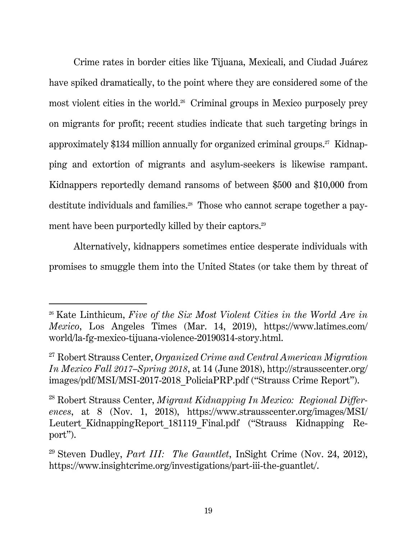Crime rates in border cities like Tijuana, Mexicali, and Ciudad Juárez have spiked dramatically, to the point where they are considered some of the most violent cities in the world.<sup>26</sup> Criminal groups in Mexico purposely prey on migrants for profit; recent studies indicate that such targeting brings in approximately \$134 million annually for organized criminal groups.<sup>27</sup> Kidnapping and extortion of migrants and asylum-seekers is likewise rampant. Kidnappers reportedly demand ransoms of between \$500 and \$10,000 from destitute individuals and families.<sup>28</sup> Those who cannot scrape together a payment have been purportedly killed by their captors.<sup>29</sup>

Alternatively, kidnappers sometimes entice desperate individuals with promises to smuggle them into the United States (or take them by threat of

<sup>26</sup> Kate Linthicum, *Five of the Six Most Violent Cities in the World Are in Mexico*, Los Angeles Times (Mar. 14, 2019), https://www.latimes.com/ world/la-fg-mexico-tijuana-violence-20190314-story.html.

<sup>27</sup> Robert Strauss Center, *Organized Crime and Central American Migration In Mexico Fall 2017–Spring 2018*, at 14 (June 2018), http://strausscenter.org/ images/pdf/MSI/MSI-2017-2018\_PoliciaPRP.pdf ("Strauss Crime Report").

<sup>28</sup> Robert Strauss Center, *Migrant Kidnapping In Mexico: Regional Differences*, at 8 (Nov. 1, 2018), https://www.strausscenter.org/images/MSI/ Leutert KidnappingReport 181119 Final.pdf ("Strauss Kidnapping Report").

<sup>29</sup> Steven Dudley, *Part III: The Gauntlet*, InSight Crime (Nov. 24, 2012), https://www.insightcrime.org/investigations/part-iii-the-guantlet/.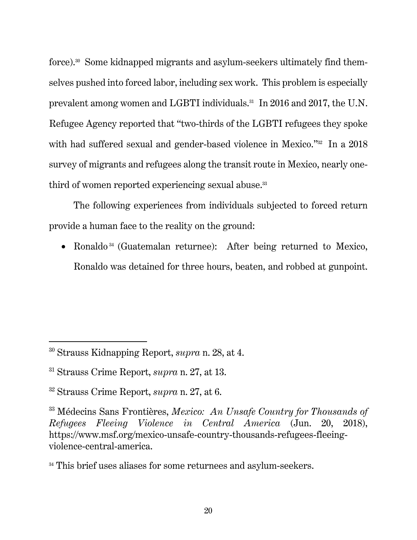force).30 Some kidnapped migrants and asylum-seekers ultimately find themselves pushed into forced labor, including sex work. This problem is especially prevalent among women and LGBTI individuals.31 In 2016 and 2017, the U.N. Refugee Agency reported that "two-thirds of the LGBTI refugees they spoke with had suffered sexual and gender-based violence in Mexico."<sup>32</sup> In a 2018 survey of migrants and refugees along the transit route in Mexico, nearly onethird of women reported experiencing sexual abuse.<sup>33</sup>

The following experiences from individuals subjected to forced return provide a human face to the reality on the ground:

• Ronaldo<sup>34</sup> (Guatemalan returnee): After being returned to Mexico, Ronaldo was detained for three hours, beaten, and robbed at gunpoint.

<sup>30</sup> Strauss Kidnapping Report, *supra* n. 28, at 4.

<sup>31</sup> Strauss Crime Report, *supra* n. 27, at 13.

<sup>32</sup> Strauss Crime Report, *supra* n. 27, at 6.

<sup>33</sup> Médecins Sans Frontières, *Mexico: An Unsafe Country for Thousands of Refugees Fleeing Violence in Central America* (Jun. 20, 2018), https://www.msf.org/mexico-unsafe-country-thousands-refugees-fleeingviolence-central-america.

<sup>&</sup>lt;sup>34</sup> This brief uses aliases for some returnees and asylum-seekers.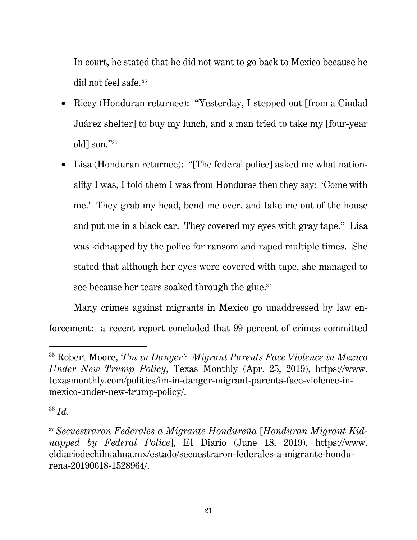In court, he stated that he did not want to go back to Mexico because he did not feel safe.<sup>35</sup>

- Riccy (Honduran returnee): "Yesterday, I stepped out [from a Ciudad] Juárez shelter] to buy my lunch, and a man tried to take my [four-year old] son."36
- Lisa (Honduran returnee): "[The federal police] asked me what nationality I was, I told them I was from Honduras then they say: 'Come with me.' They grab my head, bend me over, and take me out of the house and put me in a black car. They covered my eyes with gray tape." Lisa was kidnapped by the police for ransom and raped multiple times. She stated that although her eyes were covered with tape, she managed to see because her tears soaked through the glue.<sup>37</sup>

Many crimes against migrants in Mexico go unaddressed by law enforcement: a recent report concluded that 99 percent of crimes committed

<sup>35</sup> Robert Moore, *'I'm in Danger': Migrant Parents Face Violence in Mexico Under New Trump Policy*, Texas Monthly (Apr. 25, 2019), https://www. texasmonthly.com/politics/im-in-danger-migrant-parents-face-violence-inmexico-under-new-trump-policy/.

<sup>36</sup> *Id.*

<sup>37</sup> *Secuestraron Federales a Migrante Hondureña* [*Honduran Migrant Kidnapped by Federal Police*], El Diario (June 18, 2019), https://www. eldiariodechihuahua.mx/estado/secuestraron-federales-a-migrante-hondurena-20190618-1528964/.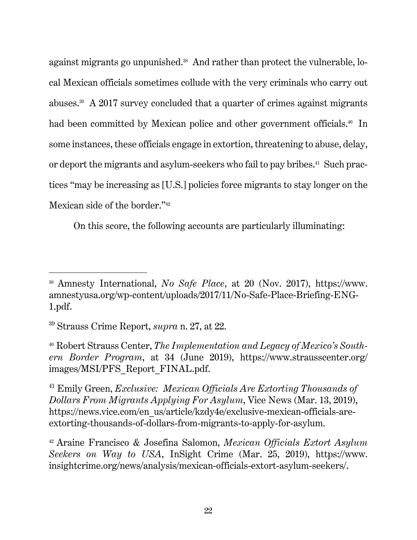against migrants go unpunished.<sup>38</sup> And rather than protect the vulnerable, local Mexican officials sometimes collude with the very criminals who carry out abuses.<sup>39</sup> A 2017 survey concluded that a quarter of crimes against migrants had been committed by Mexican police and other government officials.<sup>40</sup> In some instances, these officials engage in extortion, threatening to abuse, delay, or deport the migrants and asylum-seekers who fail to pay bribes.<sup>41</sup> Such practices "may be increasing as [U.S.] policies force migrants to stay longer on the Mexican side of the border."42

On this score, the following accounts are particularly illuminating:

<sup>38</sup> Amnesty International, *No Safe Place*, at 20 (Nov. 2017), https://www. amnestyusa.org/wp-content/uploads/2017/11/No-Safe-Place-Briefing-ENG-1.pdf.

<sup>39</sup> Strauss Crime Report, *supra* n. 27, at 22.

<sup>40</sup> Robert Strauss Center, *The Implementation and Legacy of Mexico's Southern Border Program*, at 34 (June 2019), https://www.strausscenter.org/ images/MSI/PFS\_Report\_FINAL.pdf.

<sup>41</sup> Emily Green, *Exclusive: Mexican Officials Are Extorting Thousands of Dollars From Migrants Applying For Asylum*, Vice News (Mar. 13, 2019), https://news.vice.com/en\_us/article/kzdy4e/exclusive-mexican-officials-areextorting-thousands-of-dollars-from-migrants-to-apply-for-asylum.

<sup>42</sup> Araine Francisco & Josefina Salomon, *Mexican Officials Extort Asylum Seekers on Way to USA*, InSight Crime (Mar. 25, 2019), https://www. insightcrime.org/news/analysis/mexican-officials-extort-asylum-seekers/.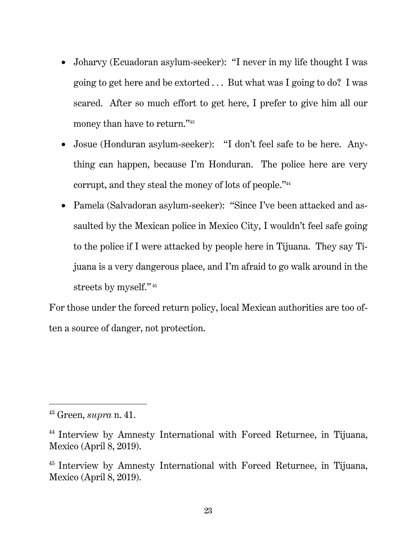- Joharvy (Ecuadoran asylum-seeker): "I never in my life thought I was going to get here and be extorted . . . But what was I going to do? I was scared. After so much effort to get here, I prefer to give him all our money than have to return."43
- Josue (Honduran asylum-seeker): "I don't feel safe to be here. Anything can happen, because I'm Honduran. The police here are very corrupt, and they steal the money of lots of people."44
- Pamela (Salvadoran asylum-seeker): "Since I've been attacked and assaulted by the Mexican police in Mexico City, I wouldn't feel safe going to the police if I were attacked by people here in Tijuana. They say Tijuana is a very dangerous place, and I'm afraid to go walk around in the streets by myself." 45

For those under the forced return policy, local Mexican authorities are too often a source of danger, not protection.

<sup>43</sup> Green, *supra* n. 41.

<sup>44</sup> Interview by Amnesty International with Forced Returnee, in Tijuana, Mexico (April 8, 2019).

<sup>45</sup> Interview by Amnesty International with Forced Returnee, in Tijuana, Mexico (April 8, 2019).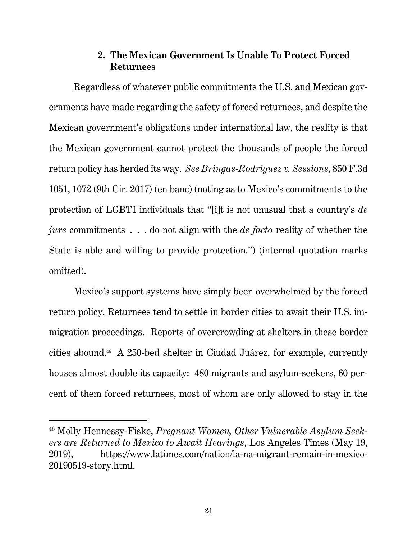#### **2. The Mexican Government Is Unable To Protect Forced Returnees**

Regardless of whatever public commitments the U.S. and Mexican governments have made regarding the safety of forced returnees, and despite the Mexican government's obligations under international law, the reality is that the Mexican government cannot protect the thousands of people the forced return policy has herded its way. *See Bringas-Rodriguez v. Sessions*, 850 F.3d 1051, 1072 (9th Cir. 2017) (en banc) (noting as to Mexico's commitments to the protection of LGBTI individuals that "[i]t is not unusual that a country's *de jure* commitments . . . do not align with the *de facto* reality of whether the State is able and willing to provide protection.") (internal quotation marks omitted).

Mexico's support systems have simply been overwhelmed by the forced return policy. Returnees tend to settle in border cities to await their U.S. immigration proceedings. Reports of overcrowding at shelters in these border cities abound.46 A 250-bed shelter in Ciudad Juárez, for example, currently houses almost double its capacity: 480 migrants and asylum-seekers, 60 percent of them forced returnees, most of whom are only allowed to stay in the

<sup>46</sup> Molly Hennessy-Fiske, *Pregnant Women, Other Vulnerable Asylum Seekers are Returned to Mexico to Await Hearings*, Los Angeles Times (May 19, 2019), https://www.latimes.com/nation/la-na-migrant-remain-in-mexico-20190519-story.html.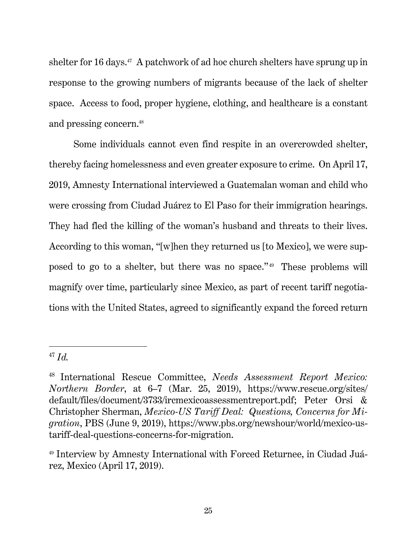shelter for 16 days.47 A patchwork of ad hoc church shelters have sprung up in response to the growing numbers of migrants because of the lack of shelter space. Access to food, proper hygiene, clothing, and healthcare is a constant and pressing concern.48

Some individuals cannot even find respite in an overcrowded shelter, thereby facing homelessness and even greater exposure to crime. On April 17, 2019, Amnesty International interviewed a Guatemalan woman and child who were crossing from Ciudad Juárez to El Paso for their immigration hearings. They had fled the killing of the woman's husband and threats to their lives. According to this woman, "[w]hen they returned us [to Mexico], we were supposed to go to a shelter, but there was no space." 49 These problems will magnify over time, particularly since Mexico, as part of recent tariff negotiations with the United States, agreed to significantly expand the forced return

<sup>47</sup> *Id.*

<sup>48</sup> International Rescue Committee, *Needs Assessment Report Mexico: Northern Border*, at 6–7 (Mar. 25, 2019), https://www.rescue.org/sites/ default/files/document/3733/ircmexicoassessmentreport.pdf; Peter Orsi & Christopher Sherman, *Mexico-US Tariff Deal: Questions, Concerns for Migration*, PBS (June 9, 2019), https://www.pbs.org/newshour/world/mexico-ustariff-deal-questions-concerns-for-migration.

<sup>49</sup> Interview by Amnesty International with Forced Returnee, in Ciudad Juárez, Mexico (April 17, 2019).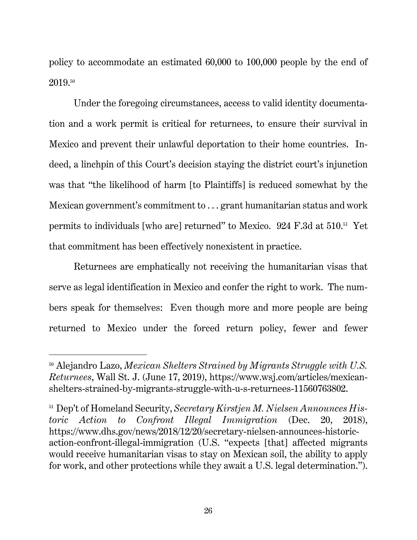policy to accommodate an estimated 60,000 to 100,000 people by the end of 2019.50

Under the foregoing circumstances, access to valid identity documentation and a work permit is critical for returnees, to ensure their survival in Mexico and prevent their unlawful deportation to their home countries. Indeed, a linchpin of this Court's decision staying the district court's injunction was that "the likelihood of harm [to Plaintiffs] is reduced somewhat by the Mexican government's commitment to . . . grant humanitarian status and work permits to individuals [who are] returned" to Mexico. 924 F.3d at 510.51 Yet that commitment has been effectively nonexistent in practice.

Returnees are emphatically not receiving the humanitarian visas that serve as legal identification in Mexico and confer the right to work. The numbers speak for themselves: Even though more and more people are being returned to Mexico under the forced return policy, fewer and fewer

<sup>50</sup> Alejandro Lazo, *Mexican Shelters Strained by Migrants Struggle with U.S. Returnees*, Wall St. J. (June 17, 2019), https://www.wsj.com/articles/mexicanshelters-strained-by-migrants-struggle-with-u-s-returnees-11560763802.

<sup>51</sup> Dep't of Homeland Security, *Secretary Kirstjen M. Nielsen Announces Historic Action to Confront Illegal Immigration* (Dec. 20, 2018), https://www.dhs.gov/news/2018/12/20/secretary-nielsen-announces-historicaction-confront-illegal-immigration (U.S. "expects [that] affected migrants would receive humanitarian visas to stay on Mexican soil, the ability to apply for work, and other protections while they await a U.S. legal determination.").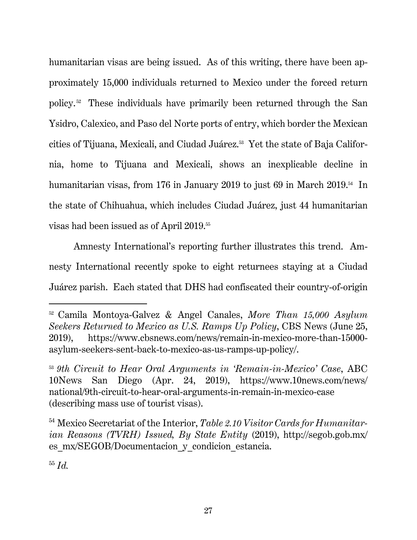humanitarian visas are being issued. As of this writing, there have been approximately 15,000 individuals returned to Mexico under the forced return policy. 52 These individuals have primarily been returned through the San Ysidro, Calexico, and Paso del Norte ports of entry, which border the Mexican cities of Tijuana, Mexicali, and Ciudad Juárez.53 Yet the state of Baja California, home to Tijuana and Mexicali, shows an inexplicable decline in humanitarian visas, from 176 in January 2019 to just 69 in March 2019.<sup>54</sup> In the state of Chihuahua, which includes Ciudad Juárez, just 44 humanitarian visas had been issued as of April 2019.55

Amnesty International's reporting further illustrates this trend. Amnesty International recently spoke to eight returnees staying at a Ciudad Juárez parish. Each stated that DHS had confiscated their country-of-origin

<sup>52</sup> Camila Montoya-Galvez & Angel Canales, *More Than 15,000 Asylum Seekers Returned to Mexico as U.S. Ramps Up Policy*, CBS News (June 25, 2019), https://www.cbsnews.com/news/remain-in-mexico-more-than-15000 asylum-seekers-sent-back-to-mexico-as-us-ramps-up-policy/.

<sup>53</sup> *9th Circuit to Hear Oral Arguments in 'Remain-in-Mexico' Case*, ABC 10News San Diego (Apr. 24, 2019), https://www.10news.com/news/ national/9th-circuit-to-hear-oral-arguments-in-remain-in-mexico-case (describing mass use of tourist visas).

<sup>54</sup> Mexico Secretariat of the Interior, *Table 2.10 Visitor Cards for Humanitarian Reasons (TVRH) Issued, By State Entity* (2019), http://segob.gob.mx/ es\_mx/SEGOB/Documentacion\_y\_condicion\_estancia.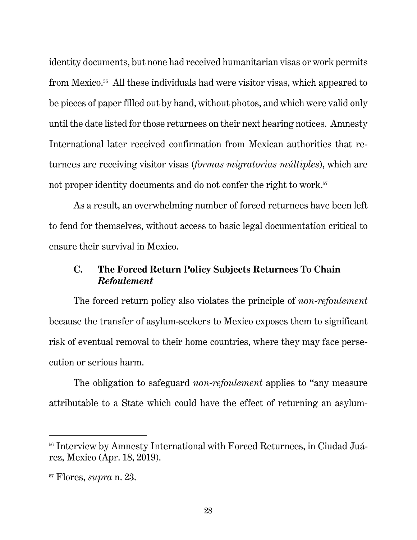identity documents, but none had received humanitarian visas or work permits from Mexico.56 All these individuals had were visitor visas, which appeared to be pieces of paper filled out by hand, without photos, and which were valid only until the date listed for those returnees on their next hearing notices. Amnesty International later received confirmation from Mexican authorities that returnees are receiving visitor visas (*formas migratorias múltiples*), which are not proper identity documents and do not confer the right to work.<sup>57</sup>

As a result, an overwhelming number of forced returnees have been left to fend for themselves, without access to basic legal documentation critical to ensure their survival in Mexico.

#### **C. The Forced Return Policy Subjects Returnees To Chain**  *Refoulement*

The forced return policy also violates the principle of *non-refoulement* because the transfer of asylum-seekers to Mexico exposes them to significant risk of eventual removal to their home countries, where they may face persecution or serious harm.

The obligation to safeguard *non-refoulement* applies to "any measure attributable to a State which could have the effect of returning an asylum-

<sup>&</sup>lt;sup>56</sup> Interview by Amnesty International with Forced Returnees, in Ciudad Juárez, Mexico (Apr. 18, 2019).

<sup>57</sup> Flores, *supra* n. 23.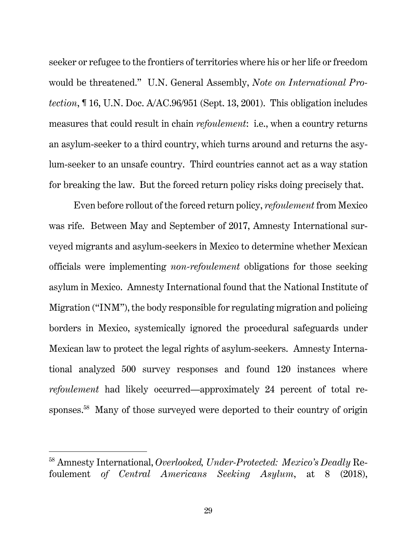seeker or refugee to the frontiers of territories where his or her life or freedom would be threatened." U.N. General Assembly, *Note on International Protection*, ¶ 16, U.N. Doc. A/AC.96/951 (Sept. 13, 2001). This obligation includes measures that could result in chain *refoulement*: i.e., when a country returns an asylum-seeker to a third country, which turns around and returns the asylum-seeker to an unsafe country. Third countries cannot act as a way station for breaking the law. But the forced return policy risks doing precisely that.

Even before rollout of the forced return policy, *refoulement* from Mexico was rife. Between May and September of 2017, Amnesty International surveyed migrants and asylum-seekers in Mexico to determine whether Mexican officials were implementing *non-refoulement* obligations for those seeking asylum in Mexico. Amnesty International found that the National Institute of Migration ("INM"), the body responsible for regulating migration and policing borders in Mexico, systemically ignored the procedural safeguards under Mexican law to protect the legal rights of asylum-seekers. Amnesty International analyzed 500 survey responses and found 120 instances where *refoulement* had likely occurred—approximately 24 percent of total responses.58 Many of those surveyed were deported to their country of origin

<sup>58</sup> Amnesty International, *Overlooked, Under-Protected: Mexico's Deadly* Refoulement *of Central Americans Seeking Asylum*, at 8 (2018),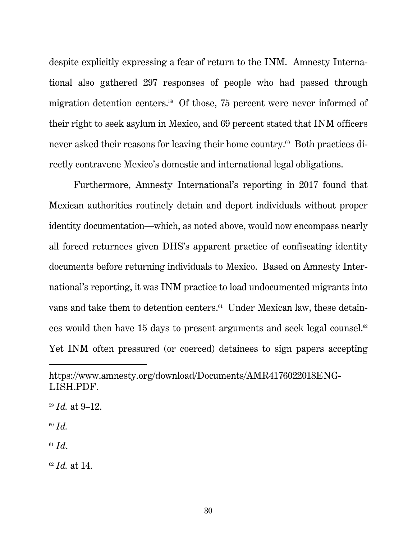despite explicitly expressing a fear of return to the INM. Amnesty International also gathered 297 responses of people who had passed through migration detention centers.<sup>59</sup> Of those, 75 percent were never informed of their right to seek asylum in Mexico, and 69 percent stated that INM officers never asked their reasons for leaving their home country.<sup>60</sup> Both practices directly contravene Mexico's domestic and international legal obligations.

Furthermore, Amnesty International's reporting in 2017 found that Mexican authorities routinely detain and deport individuals without proper identity documentation—which, as noted above, would now encompass nearly all forced returnees given DHS's apparent practice of confiscating identity documents before returning individuals to Mexico. Based on Amnesty International's reporting, it was INM practice to load undocumented migrants into vans and take them to detention centers.<sup>61</sup> Under Mexican law, these detainees would then have 15 days to present arguments and seek legal counsel.<sup>62</sup> Yet INM often pressured (or coerced) detainees to sign papers accepting

<sup>60</sup> *Id.*

-

 $61$   $Id.$ 

<sup>62</sup> *Id.* at 14.

https://www.amnesty.org/download/Documents/AMR4176022018ENG-LISH.PDF.

<sup>59</sup> *Id.* at 9–12.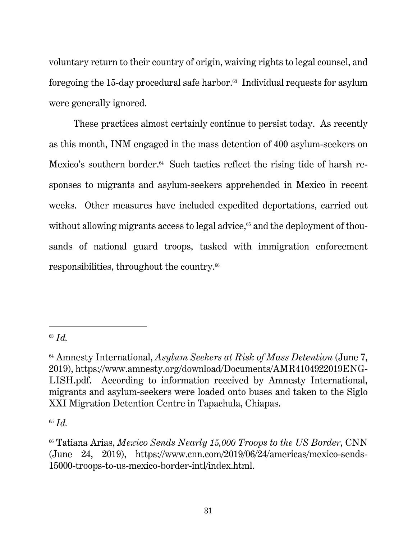voluntary return to their country of origin, waiving rights to legal counsel, and foregoing the 15-day procedural safe harbor.63 Individual requests for asylum were generally ignored.

These practices almost certainly continue to persist today. As recently as this month, INM engaged in the mass detention of 400 asylum-seekers on Mexico's southern border.<sup>64</sup> Such tactics reflect the rising tide of harsh responses to migrants and asylum-seekers apprehended in Mexico in recent weeks. Other measures have included expedited deportations, carried out without allowing migrants access to legal advice, $65$  and the deployment of thousands of national guard troops, tasked with immigration enforcement responsibilities, throughout the country.66

<sup>63</sup> *Id.* 

<sup>64</sup> Amnesty International, *Asylum Seekers at Risk of Mass Detention* (June 7, 2019), https://www.amnesty.org/download/Documents/AMR4104922019ENG-LISH.pdf. According to information received by Amnesty International, migrants and asylum-seekers were loaded onto buses and taken to the Siglo XXI Migration Detention Centre in Tapachula, Chiapas.

<sup>65</sup> *Id.* 

<sup>66</sup> Tatiana Arias, *Mexico Sends Nearly 15,000 Troops to the US Border*, CNN (June 24, 2019), https://www.cnn.com/2019/06/24/americas/mexico-sends-15000-troops-to-us-mexico-border-intl/index.html.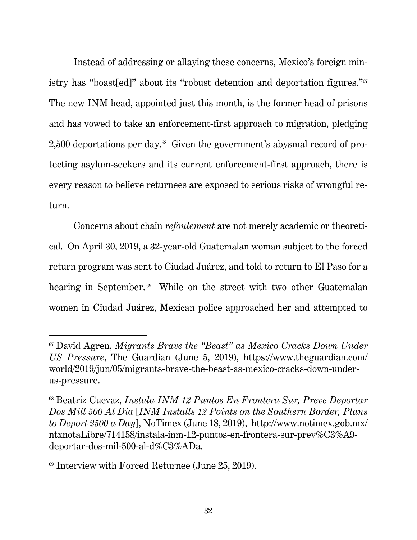Instead of addressing or allaying these concerns, Mexico's foreign ministry has "boast[ed]" about its "robust detention and deportation figures."67 The new INM head, appointed just this month, is the former head of prisons and has vowed to take an enforcement-first approach to migration, pledging 2,500 deportations per day.68 Given the government's abysmal record of protecting asylum-seekers and its current enforcement-first approach, there is every reason to believe returnees are exposed to serious risks of wrongful return.

Concerns about chain *refoulement* are not merely academic or theoretical. On April 30, 2019, a 32-year-old Guatemalan woman subject to the forced return program was sent to Ciudad Juárez, and told to return to El Paso for a hearing in September.<sup>69</sup> While on the street with two other Guatemalan women in Ciudad Juárez, Mexican police approached her and attempted to

<sup>67</sup> David Agren, *Migrants Brave the "Beast" as Mexico Cracks Down Under US Pressure*, The Guardian (June 5, 2019), https://www.theguardian.com/ world/2019/jun/05/migrants-brave-the-beast-as-mexico-cracks-down-underus-pressure.

<sup>68</sup> Beatriz Cuevaz, *Instala INM 12 Puntos En Frontera Sur, Preve Deportar Dos Mill 500 Al Dia* [*INM Installs 12 Points on the Southern Border, Plans to Deport 2500 a Day*], NoTimex (June 18, 2019), http://www.notimex.gob.mx/ ntxnotaLibre/714158/instala-inm-12-puntos-en-frontera-sur-prev%C3%A9 deportar-dos-mil-500-al-d%C3%ADa.

 $69$  Interview with Forced Returnee (June 25, 2019).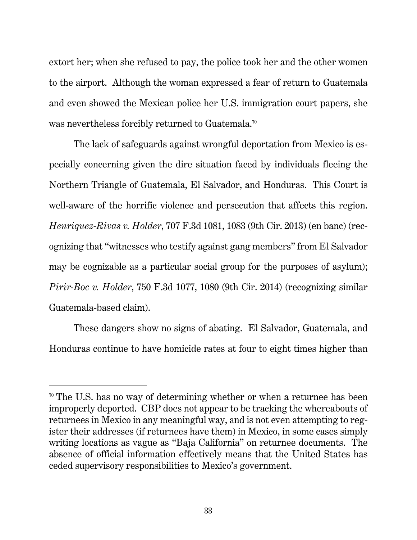extort her; when she refused to pay, the police took her and the other women to the airport. Although the woman expressed a fear of return to Guatemala and even showed the Mexican police her U.S. immigration court papers, she was nevertheless forcibly returned to Guatemala.<sup>70</sup>

The lack of safeguards against wrongful deportation from Mexico is especially concerning given the dire situation faced by individuals fleeing the Northern Triangle of Guatemala, El Salvador, and Honduras. This Court is well-aware of the horrific violence and persecution that affects this region. *Henriquez-Rivas v. Holder*, 707 F.3d 1081, 1083 (9th Cir. 2013) (en banc) (recognizing that "witnesses who testify against gang members" from El Salvador may be cognizable as a particular social group for the purposes of asylum); *Pirir-Boc v. Holder*, 750 F.3d 1077, 1080 (9th Cir. 2014) (recognizing similar Guatemala-based claim).

These dangers show no signs of abating. El Salvador, Guatemala, and Honduras continue to have homicide rates at four to eight times higher than

<sup>&</sup>lt;sup>70</sup> The U.S. has no way of determining whether or when a returnee has been improperly deported. CBP does not appear to be tracking the whereabouts of returnees in Mexico in any meaningful way, and is not even attempting to register their addresses (if returnees have them) in Mexico, in some cases simply writing locations as vague as "Baja California" on returnee documents. The absence of official information effectively means that the United States has ceded supervisory responsibilities to Mexico's government.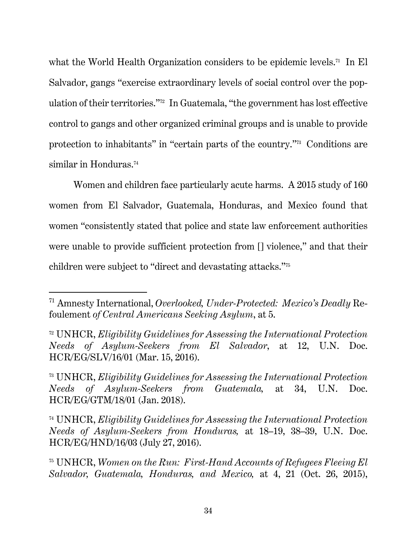what the World Health Organization considers to be epidemic levels.<sup>71</sup> In El Salvador, gangs "exercise extraordinary levels of social control over the population of their territories."72 In Guatemala, "the government has lost effective control to gangs and other organized criminal groups and is unable to provide protection to inhabitants" in "certain parts of the country."73 Conditions are similar in Honduras.<sup>74</sup>

Women and children face particularly acute harms. A 2015 study of 160 women from El Salvador, Guatemala, Honduras, and Mexico found that women "consistently stated that police and state law enforcement authorities were unable to provide sufficient protection from  $[]$  violence," and that their children were subject to "direct and devastating attacks."75

<sup>71</sup> Amnesty International, *Overlooked, Under-Protected: Mexico's Deadly* Refoulement *of Central Americans Seeking Asylum*, at 5.

<sup>72</sup> UNHCR, *Eligibility Guidelines for Assessing the International Protection Needs of Asylum-Seekers from El Salvador*, at 12, U.N. Doc. HCR/EG/SLV/16/01 (Mar. 15, 2016).

<sup>73</sup> UNHCR, *Eligibility Guidelines for Assessing the International Protection Needs of Asylum-Seekers from Guatemala,* at 34, U.N. Doc. HCR/EG/GTM/18/01 (Jan. 2018).

<sup>74</sup> UNHCR, *Eligibility Guidelines for Assessing the International Protection Needs of Asylum-Seekers from Honduras,* at 18–19, 38–39, U.N. Doc. HCR/EG/HND/16/03 (July 27, 2016).

<sup>75</sup> UNHCR, *Women on the Run: First-Hand Accounts of Refugees Fleeing El Salvador, Guatemala, Honduras, and Mexico,* at 4, 21 (Oct. 26, 2015),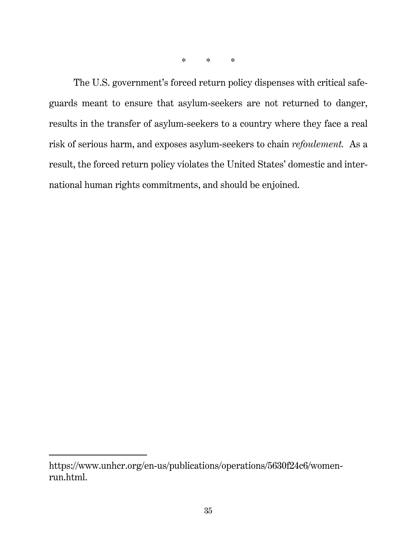\* \* \*

The U.S. government's forced return policy dispenses with critical safeguards meant to ensure that asylum-seekers are not returned to danger, results in the transfer of asylum-seekers to a country where they face a real risk of serious harm, and exposes asylum-seekers to chain *refoulement.* As a result, the forced return policy violates the United States' domestic and international human rights commitments, and should be enjoined.

https://www.unhcr.org/en-us/publications/operations/5630f24c6/womenrun.html.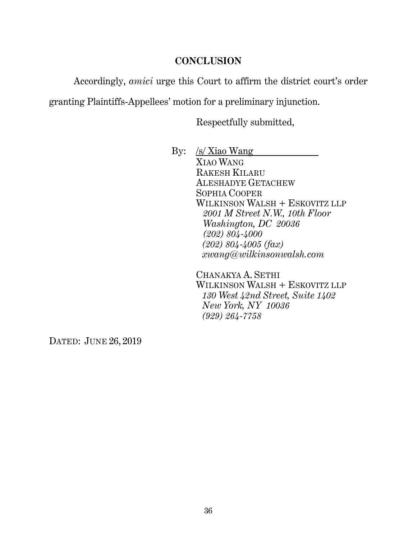#### **CONCLUSION**

Accordingly, *amici* urge this Court to affirm the district court's order

granting Plaintiffs-Appellees' motion for a preliminary injunction.

Respectfully submitted,

By: /s/ Xiao Wang

XIAO WANG RAKESH KILARU ALESHADYE GETACHEW SOPHIA COOPER WILKINSON WALSH + ESKOVITZ LLP  *2001 M Street N.W., 10th Floor Washington, DC 20036 (202) 804-4000 (202) 804-4005 (fax) xwang@wilkinsonwalsh.com* 

CHANAKYA A. SETHI WILKINSON WALSH + ESKOVITZ LLP *130 West 42nd Street, Suite 1402 New York, NY 10036 (929) 264-7758* 

DATED: JUNE 26, 2019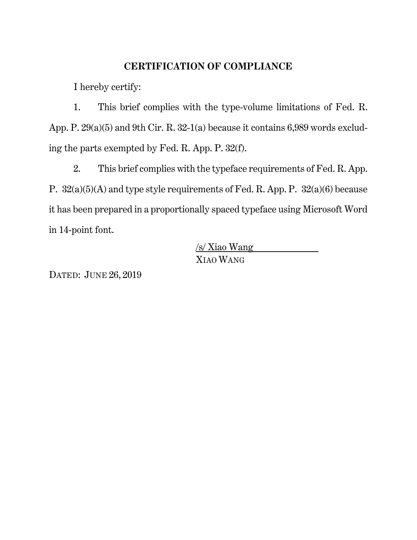#### **CERTIFICATION OF COMPLIANCE**

I hereby certify:

1. This brief complies with the type-volume limitations of Fed. R. App. P. 29(a)(5) and 9th Cir. R. 32-1(a) because it contains 6,989 words excluding the parts exempted by Fed. R. App. P. 32(f).

2. This brief complies with the typeface requirements of Fed. R. App. P. 32(a)(5)(A) and type style requirements of Fed. R. App. P. 32(a)(6) because it has been prepared in a proportionally spaced typeface using Microsoft Word in 14-point font.

> /s/ Xiao Wang XIAO WANG

DATED: JUNE 26, 2019